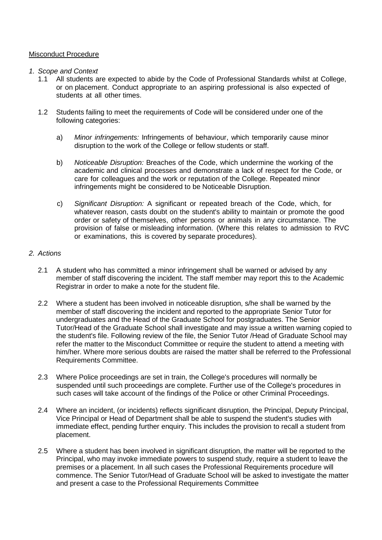# Misconduct Procedure

#### *1. Scope and Context*

- 1.1 All students are expected to abide by the Code of Professional Standards whilst at College, or on placement. Conduct appropriate to an aspiring professional is also expected of students at all other times.
- 1.2 Students failing to meet the requirements of Code will be considered under one of the following categories:
	- a) *Minor infringements:* Infringements of behaviour, which temporarily cause minor disruption to the work of the College or fellow students or staff.
	- b) *Noticeable Disruption:* Breaches of the Code, which undermine the working of the academic and clinical processes and demonstrate a lack of respect for the Code, or care for colleagues and the work or reputation of the College. Repeated minor infringements might be considered to be Noticeable Disruption.
	- c) *Significant Disruption:* A significant or repeated breach of the Code, which, for whatever reason, casts doubt on the student's ability to maintain or promote the good order or safety of themselves, other persons or animals in any circumstance. The provision of false or misleading information. (Where this relates to admission to RVC or examinations, this is covered by separate procedures).

### *2. Actions*

- 2.1 A student who has committed a minor infringement shall be warned or advised by any member of staff discovering the incident. The staff member may report this to the Academic Registrar in order to make a note for the student file.
- 2.2 Where a student has been involved in noticeable disruption, s/he shall be warned by the member of staff discovering the incident and reported to the appropriate Senior Tutor for undergraduates and the Head of the Graduate School for postgraduates. The Senior Tutor/Head of the Graduate School shall investigate and may issue a written warning copied to the student's file. Following review of the file, the Senior Tutor /Head of Graduate School may refer the matter to the Misconduct Committee or require the student to attend a meeting with him/her. Where more serious doubts are raised the matter shall be referred to the Professional Requirements Committee.
- 2.3 Where Police proceedings are set in train, the College's procedures will normally be suspended until such proceedings are complete. Further use of the College's procedures in such cases will take account of the findings of the Police or other Criminal Proceedings.
- 2.4 Where an incident, (or incidents) reflects significant disruption, the Principal, Deputy Principal, Vice Principal or Head of Department shall be able to suspend the student's studies with immediate effect, pending further enquiry. This includes the provision to recall a student from placement.
- 2.5 Where a student has been involved in significant disruption, the matter will be reported to the Principal, who may invoke immediate powers to suspend study, require a student to leave the premises or a placement. In all such cases the Professional Requirements procedure will commence. The Senior Tutor/Head of Graduate School will be asked to investigate the matter and present a case to the Professional Requirements Committee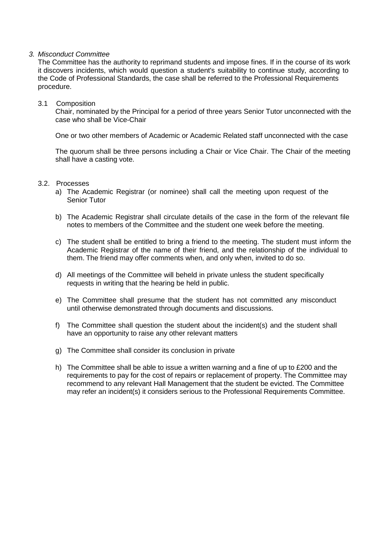### *3. Misconduct Committee*

The Committee has the authority to reprimand students and impose fines. If in the course of its work it discovers incidents, which would question a student's suitability to continue study, according to the Code of Professional Standards, the case shall be referred to the Professional Requirements procedure.

### 3.1 Composition

Chair, nominated by the Principal for a period of three years Senior Tutor unconnected with the case who shall be Vice-Chair

One or two other members of Academic or Academic Related staff unconnected with the case

The quorum shall be three persons including a Chair or Vice Chair. The Chair of the meeting shall have a casting vote.

### 3.2. Processes

- a) The Academic Registrar (or nominee) shall call the meeting upon request of the Senior Tutor
- b) The Academic Registrar shall circulate details of the case in the form of the relevant file notes to members of the Committee and the student one week before the meeting.
- c) The student shall be entitled to bring a friend to the meeting. The student must inform the Academic Registrar of the name of their friend, and the relationship of the individual to them. The friend may offer comments when, and only when, invited to do so.
- d) All meetings of the Committee will beheld in private unless the student specifically requests in writing that the hearing be held in public.
- e) The Committee shall presume that the student has not committed any misconduct until otherwise demonstrated through documents and discussions.
- f) The Committee shall question the student about the incident(s) and the student shall have an opportunity to raise any other relevant matters
- g) The Committee shall consider its conclusion in private
- h) The Committee shall be able to issue a written warning and a fine of up to £200 and the requirements to pay for the cost of repairs or replacement of property. The Committee may recommend to any relevant Hall Management that the student be evicted. The Committee may refer an incident(s) it considers serious to the Professional Requirements Committee.